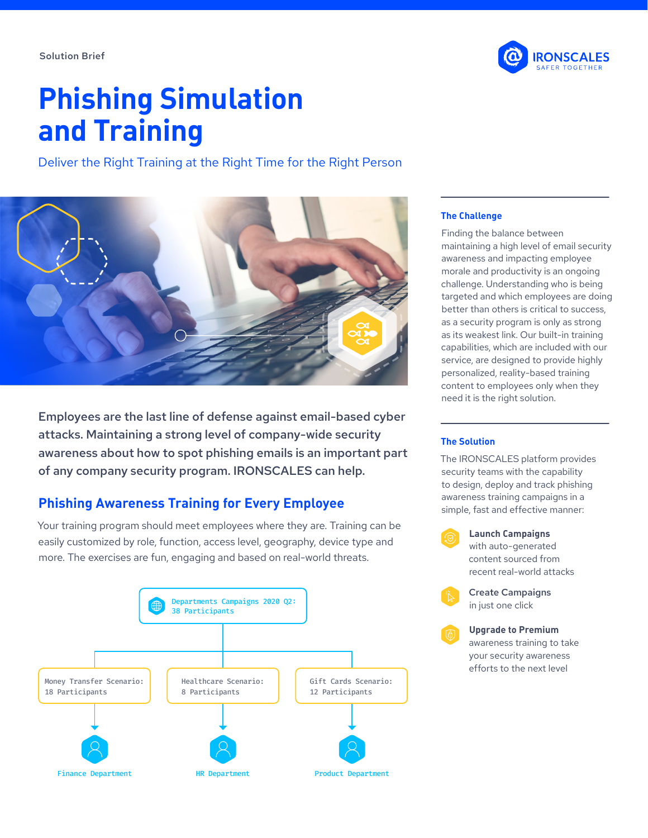

# **Phishing Simulation and Training**

Deliver the Right Training at the Right Time for the Right Person



Employees are the last line of defense against email-based cyber attacks. Maintaining a strong level of company-wide security awareness about how to spot phishing emails is an important part of any company security program. IRONSCALES can help.

## **Phishing Awareness Training for Every Employee**

Your training program should meet employees where they are. Training can be easily customized by role, function, access level, geography, device type and more. The exercises are fun, engaging and based on real-world threats.



#### **The Challenge**

Finding the balance between maintaining a high level of email security awareness and impacting employee morale and productivity is an ongoing challenge. Understanding who is being targeted and which employees are doing better than others is critical to success, as a security program is only as strong as its weakest link. Our built-in training capabilities, which are included with our service, are designed to provide highly personalized, reality-based training content to employees only when they need it is the right solution.

#### **The Solution**

The IRONSCALES platform provides security teams with the capability to design, deploy and track phishing awareness training campaigns in a simple, fast and effective manner:



in just one click

**Upgrade to Premium** awareness training to take your security awareness efforts to the next level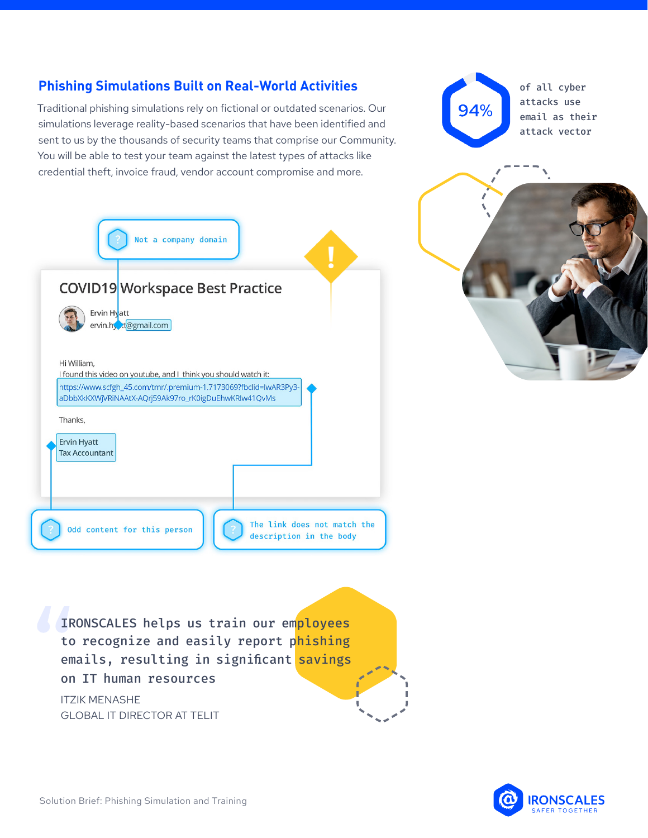on IT human resources

GLOBAL IT DIRECTOR AT TELIT

ITZIK MENASHE

# **Phishing Simulations Built on Real-World Activities**

Traditional phishing simulations rely on fictional or outdated scenarios. Our simulations leverage reality-based scenarios that have been identified and sent to us by the thousands of security teams that comprise our Community. You will be able to test your team against the latest types of attacks like credential theft, invoice fraud, vendor account compromise and more.

| Not a company domain                                                                                                                                                                                       |
|------------------------------------------------------------------------------------------------------------------------------------------------------------------------------------------------------------|
| <b>COVID19 Workspace Best Practice</b>                                                                                                                                                                     |
| Ervin Hyatt<br>ervin.hy to agmail.com                                                                                                                                                                      |
| Hi William,<br>I found this video on youtube, and I think you should watch it:<br>https://www.scfgh_45.com/tmr/.premium-1.7173069?fbclid=IwAR3Py3-<br>aDbbXkKXWjVRiNAAtX-AQrj59Ak97ro_rK0igDuEhwKRIw41QvMs |
| Thanks,<br><b>Ervin Hyatt</b><br><b>Tax Accountant</b>                                                                                                                                                     |
| The link does not match the<br>Odd content for this person<br>description in the body                                                                                                                      |

IRONSCALES helps us train our employees to recognize and easily report phishing emails, resulting in significant savings of all cyber attacks use email as their attack vector



**RONSCALES**